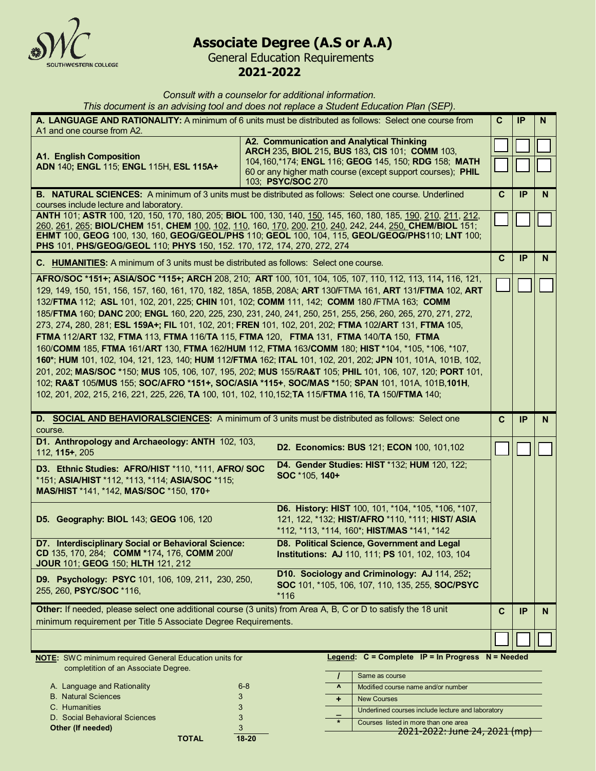

# **Associate Degree (A.S or A.A)**

General Education Requirements **2021-2022**

*Consult with a counselor for additional information.*

*This document is an advising tool and does not replace a Student Education Plan (SEP).* 

| A. LANGUAGE AND RATIONALITY: A minimum of 6 units must be distributed as follows: Select one course from<br>A1 and one course from A2.                                                                                                                                                                                                                                                                                                                                                                                                                                                                                                                                                                                                                                                                                                                                                                                                                                                                                                                                                                                                                                                     |                                                                                                                                                                          | C            | IP        | N. |
|--------------------------------------------------------------------------------------------------------------------------------------------------------------------------------------------------------------------------------------------------------------------------------------------------------------------------------------------------------------------------------------------------------------------------------------------------------------------------------------------------------------------------------------------------------------------------------------------------------------------------------------------------------------------------------------------------------------------------------------------------------------------------------------------------------------------------------------------------------------------------------------------------------------------------------------------------------------------------------------------------------------------------------------------------------------------------------------------------------------------------------------------------------------------------------------------|--------------------------------------------------------------------------------------------------------------------------------------------------------------------------|--------------|-----------|----|
| A2. Communication and Analytical Thinking<br><b>A1. English Composition</b><br>ADN 140; ENGL 115; ENGL 115H, ESL 115A+<br>103; PSYC/SOC 270                                                                                                                                                                                                                                                                                                                                                                                                                                                                                                                                                                                                                                                                                                                                                                                                                                                                                                                                                                                                                                                | ARCH 235, BIOL 215, BUS 183, CIS 101; COMM 103,<br>104, 160, *174; ENGL 116; GEOG 145, 150; RDG 158; MATH<br>60 or any higher math course (except support courses); PHIL |              |           |    |
| <b>B. NATURAL SCIENCES:</b> A minimum of 3 units must be distributed as follows: Select one course. Underlined<br>courses include lecture and laboratory.                                                                                                                                                                                                                                                                                                                                                                                                                                                                                                                                                                                                                                                                                                                                                                                                                                                                                                                                                                                                                                  |                                                                                                                                                                          | C            | <b>IP</b> | N  |
| ANTH 101; ASTR 100, 120, 150, 170, 180, 205; BIOL 100, 130, 140, 150, 145, 160, 180, 185, 190, 210, 211, 212,<br>260, 261, 265; BIOL/CHEM 151, CHEM 100, 102, 110, 160, 170, 200, 210, 240, 242, 244, 250, CHEM/BIOL 151;<br>EHMT 100, GEOG 100, 130, 160, GEOG/GEOL/PHS 110; GEOL 100, 104, 115, GEOL/GEOG/PHS110; LNT 100;<br>PHS 101, PHS/GEOG/GEOL 110; PHYS 150, 152. 170, 172, 174, 270, 272, 274                                                                                                                                                                                                                                                                                                                                                                                                                                                                                                                                                                                                                                                                                                                                                                                    |                                                                                                                                                                          |              |           |    |
| C. HUMANITIES: A minimum of 3 units must be distributed as follows: Select one course.                                                                                                                                                                                                                                                                                                                                                                                                                                                                                                                                                                                                                                                                                                                                                                                                                                                                                                                                                                                                                                                                                                     |                                                                                                                                                                          | $\mathbf{C}$ | IP        | N. |
| AFRO/SOC *151+; ASIA/SOC *115+; ARCH 208, 210; ART 100, 101, 104, 105, 107, 110, 112, 113, 114, 116, 121,<br>129, 149, 150, 151, 156, 157, 160, 161, 170, 182, 185A, 185B, 208A; ART 130/FTMA 161, ART 131/FTMA 102, ART<br>132/FTMA 112; ASL 101, 102, 201, 225; CHIN 101, 102; COMM 111, 142; COMM 180 /FTMA 163; COMM<br>185/FTMA 160; DANC 200; ENGL 160, 220, 225, 230, 231, 240, 241, 250, 251, 255, 256, 260, 265, 270, 271, 272,<br>273, 274, 280, 281; ESL 159A+; FIL 101, 102, 201; FREN 101, 102, 201, 202; FTMA 102/ART 131, FTMA 105,<br>FTMA 112/ART 132, FTMA 113, FTMA 116/TA 115, FTMA 120, FTMA 131, FTMA 140/TA 150, FTMA<br>160/COMM 185, FTMA 161/ART 130, FTMA 162/HUM 112, FTMA 163/COMM 180; HIST *104, *105, *106, *107,<br>160*; HUM 101, 102, 104, 121, 123, 140; HUM 112/FTMA 162; ITAL 101, 102, 201, 202; JPN 101, 101A, 101B, 102,<br>201, 202; MAS/SOC *150; MUS 105, 106, 107, 195, 202; MUS 155/RA&T 105; PHIL 101, 106, 107, 120; PORT 101,<br>102; RA&T 105/MUS 155; SOC/AFRO *151+, SOC/ASIA *115+, SOC/MAS *150; SPAN 101, 101A, 101B,101H,<br>102, 201, 202, 215, 216, 221, 225, 226, TA 100, 101, 102, 110, 152; TA 115/FTMA 116, TA 150/FTMA 140; |                                                                                                                                                                          |              |           |    |
| D. SOCIAL AND BEHAVIORALSCIENCES: A minimum of 3 units must be distributed as follows: Select one<br>course.                                                                                                                                                                                                                                                                                                                                                                                                                                                                                                                                                                                                                                                                                                                                                                                                                                                                                                                                                                                                                                                                               |                                                                                                                                                                          | C            | <b>IP</b> | N  |
| D1. Anthropology and Archaeology: ANTH 102, 103,<br>112, 115+, 205                                                                                                                                                                                                                                                                                                                                                                                                                                                                                                                                                                                                                                                                                                                                                                                                                                                                                                                                                                                                                                                                                                                         | D2. Economics: BUS 121; ECON 100, 101, 102                                                                                                                               |              |           |    |
| D4. Gender Studies: HIST *132; HUM 120, 122;<br>D3. Ethnic Studies: AFRO/HIST *110, *111, AFRO/ SOC<br>SOC *105, 140+<br>*151; ASIA/HIST *112, *113, *114; ASIA/SOC *115;<br>MAS/HIST *141, *142, MAS/SOC *150, 170+                                                                                                                                                                                                                                                                                                                                                                                                                                                                                                                                                                                                                                                                                                                                                                                                                                                                                                                                                                       |                                                                                                                                                                          |              |           |    |
| D5. Geography: BIOL 143; GEOG 106, 120                                                                                                                                                                                                                                                                                                                                                                                                                                                                                                                                                                                                                                                                                                                                                                                                                                                                                                                                                                                                                                                                                                                                                     | D6. History: HIST 100, 101, *104, *105, *106, *107,<br>121, 122, *132; HIST/AFRO *110, *111; HIST/ ASIA<br>*112, *113, *114, 160*; HIST/MAS *141, *142                   |              |           |    |
| D8. Political Science, Government and Legal<br>D7. Interdisciplinary Social or Behavioral Science:<br>CD 135, 170, 284; COMM *174, 176, COMM 200/<br><b>Institutions: AJ 110, 111; PS 101, 102, 103, 104</b><br>JOUR 101; GEOG 150; HLTH 121, 212                                                                                                                                                                                                                                                                                                                                                                                                                                                                                                                                                                                                                                                                                                                                                                                                                                                                                                                                          |                                                                                                                                                                          |              |           |    |
| D9. Psychology: PSYC 101, 106, 109, 211, 230, 250,<br>255, 260, PSYC/SOC *116,<br>$*116$                                                                                                                                                                                                                                                                                                                                                                                                                                                                                                                                                                                                                                                                                                                                                                                                                                                                                                                                                                                                                                                                                                   | D10. Sociology and Criminology: AJ 114, 252;<br>SOC 101, *105, 106, 107, 110, 135, 255, SOC/PSYC                                                                         |              |           |    |
| Other: If needed, please select one additional course (3 units) from Area A, B, C or D to satisfy the 18 unit<br>minimum requirement per Title 5 Associate Degree Requirements.                                                                                                                                                                                                                                                                                                                                                                                                                                                                                                                                                                                                                                                                                                                                                                                                                                                                                                                                                                                                            |                                                                                                                                                                          | $\mathbf c$  | IP        | N  |
|                                                                                                                                                                                                                                                                                                                                                                                                                                                                                                                                                                                                                                                                                                                                                                                                                                                                                                                                                                                                                                                                                                                                                                                            |                                                                                                                                                                          |              |           |    |

|                               | <b>NOTE:</b> SWC minimum required General Education units for<br>completition of an Associate Degree. |  |  |  |
|-------------------------------|-------------------------------------------------------------------------------------------------------|--|--|--|
| A. Language and Rationality   | $6 - 8$                                                                                               |  |  |  |
| <b>B.</b> Natural Sciences    | 3                                                                                                     |  |  |  |
| C. Humanities                 | 3                                                                                                     |  |  |  |
| D. Social Behavioral Sciences | 3                                                                                                     |  |  |  |
| Other (If needed)             | 3                                                                                                     |  |  |  |

**TOTAL 18-20**

**Legend: C = Complete IP = In Progress N = Needed**

|                               | Same as course                                    |
|-------------------------------|---------------------------------------------------|
| $\mathbf{v}$                  | Modified course name and/or number                |
|                               | <b>New Courses</b>                                |
|                               | Underlined courses include lecture and laboratory |
|                               | Courses listed in more than one area              |
| 2021-2022: June 24, 2021 (mp) |                                                   |